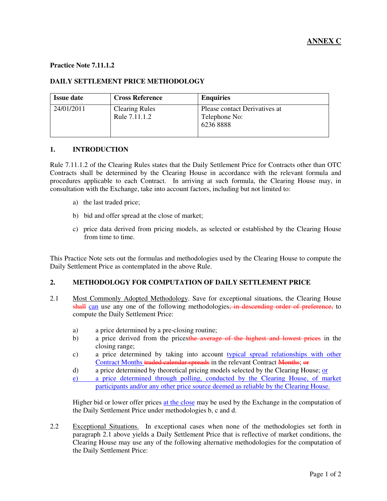## **Practice Note 7.11.1.2**

## **DAILY SETTLEMENT PRICE METHODOLOGY**

| <b>Issue date</b> | <b>Cross Reference</b>                 | <b>Enquiries</b>                                           |
|-------------------|----------------------------------------|------------------------------------------------------------|
| 24/01/2011        | <b>Clearing Rules</b><br>Rule 7.11.1.2 | Please contact Derivatives at<br>Telephone No:<br>62368888 |

## **1. INTRODUCTION**

Rule 7.11.1.2 of the Clearing Rules states that the Daily Settlement Price for Contracts other than OTC Contracts shall be determined by the Clearing House in accordance with the relevant formula and procedures applicable to each Contract. In arriving at such formula, the Clearing House may, in consultation with the Exchange, take into account factors, including but not limited to:

- a) the last traded price;
- b) bid and offer spread at the close of market;
- c) price data derived from pricing models, as selected or established by the Clearing House from time to time.

This Practice Note sets out the formulas and methodologies used by the Clearing House to compute the Daily Settlement Price as contemplated in the above Rule.

## **2. METHODOLOGY FOR COMPUTATION OF DAILY SETTLEMENT PRICE**

- 2.1 Most Commonly Adopted Methodology. Save for exceptional situations, the Clearing House shall can use any one of the following methodologies, in descending order of preference, to compute the Daily Settlement Price:
	- a) a price determined by a pre-closing routine;
	- b) a price derived from the pricesthe average of the highest and lowest prices in the closing range;
	- c) a price determined by taking into account typical spread relationships with other Contract Months traded calendar spreads in the relevant Contract Months; or
	- d) a price determined by theoretical pricing models selected by the Clearing House; or
	- e) a price determined through polling, conducted by the Clearing House, of market participants and/or any other price source deemed as reliable by the Clearing House.

Higher bid or lower offer prices at the close may be used by the Exchange in the computation of the Daily Settlement Price under methodologies b, c and d.

2.2 Exceptional Situations. In exceptional cases when none of the methodologies set forth in paragraph 2.1 above yields a Daily Settlement Price that is reflective of market conditions, the Clearing House may use any of the following alternative methodologies for the computation of the Daily Settlement Price: